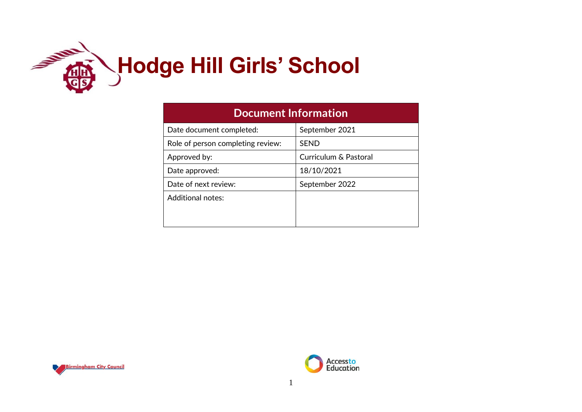

| <b>Document Information</b>       |                       |  |  |  |  |
|-----------------------------------|-----------------------|--|--|--|--|
| Date document completed:          | September 2021        |  |  |  |  |
| Role of person completing review: | <b>SEND</b>           |  |  |  |  |
| Approved by:                      | Curriculum & Pastoral |  |  |  |  |
| Date approved:                    | 18/10/2021            |  |  |  |  |
| Date of next review:              | September 2022        |  |  |  |  |
| <b>Additional notes:</b>          |                       |  |  |  |  |
|                                   |                       |  |  |  |  |
|                                   |                       |  |  |  |  |



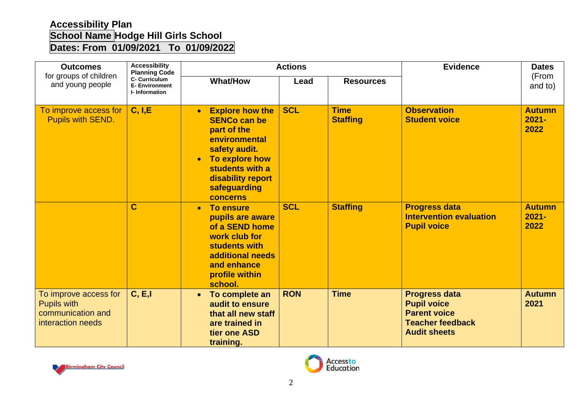## **Accessibility Plan School Name Hodge Hill Girls School Dates: From 01/09/2021 To 01/09/2022**

| <b>Outcomes</b>                                                                       | <b>Accessibility</b><br><b>Planning Code</b><br><b>C- Curriculum</b><br><b>E- Environment</b><br>I-Information |                                                                                                                                                                                                                | <b>Actions</b> | <b>Evidence</b>                | <b>Dates</b>                                                                                                        |                                   |
|---------------------------------------------------------------------------------------|----------------------------------------------------------------------------------------------------------------|----------------------------------------------------------------------------------------------------------------------------------------------------------------------------------------------------------------|----------------|--------------------------------|---------------------------------------------------------------------------------------------------------------------|-----------------------------------|
| for groups of children<br>and young people                                            |                                                                                                                | <b>What/How</b>                                                                                                                                                                                                | Lead           | <b>Resources</b>               |                                                                                                                     | (From<br>and to)                  |
| To improve access for<br><b>Pupils with SEND.</b>                                     | C, I, E                                                                                                        | <b>Explore how the</b><br>$\bullet$<br><b>SENCo can be</b><br>part of the<br>environmental<br>safety audit.<br>To explore how<br>$\bullet$<br>students with a<br>disability report<br>safeguarding<br>concerns | <b>SCL</b>     | <b>Time</b><br><b>Staffing</b> | <b>Observation</b><br><b>Student voice</b>                                                                          | <b>Autumn</b><br>$2021 -$<br>2022 |
|                                                                                       | C                                                                                                              | <b>To ensure</b><br>$\bullet$<br>pupils are aware<br>of a SEND home<br>work club for<br>students with<br>additional needs<br>and enhance<br>profile within<br>school.                                          | <b>SCL</b>     | <b>Staffing</b>                | <b>Progress data</b><br><b>Intervention evaluation</b><br><b>Pupil voice</b>                                        | <b>Autumn</b><br>$2021 -$<br>2022 |
| To improve access for<br><b>Pupils with</b><br>communication and<br>interaction needs | C, E, I                                                                                                        | To complete an<br>$\bullet$<br>audit to ensure<br>that all new staff<br>are trained in<br>tier one ASD<br>training.                                                                                            | <b>RON</b>     | <b>Time</b>                    | <b>Progress data</b><br><b>Pupil voice</b><br><b>Parent voice</b><br><b>Teacher feedback</b><br><b>Audit sheets</b> | <b>Autumn</b><br>2021             |



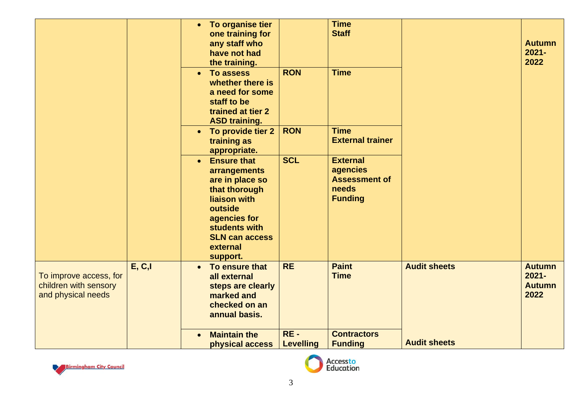|                                                                       |         | To organise tier<br>$\bullet$<br>one training for<br>any staff who<br>have not had<br>the training.<br>To assess<br>$\bullet$<br>whether there is<br>a need for some                             | <b>RON</b>                 | <b>Time</b><br><b>Staff</b><br><b>Time</b>                                     |                     | <b>Autumn</b><br>$2021 -$<br>2022                  |
|-----------------------------------------------------------------------|---------|--------------------------------------------------------------------------------------------------------------------------------------------------------------------------------------------------|----------------------------|--------------------------------------------------------------------------------|---------------------|----------------------------------------------------|
|                                                                       |         | staff to be<br>trained at tier 2<br><b>ASD training.</b>                                                                                                                                         |                            |                                                                                |                     |                                                    |
|                                                                       |         | To provide tier 2<br>$\bullet$<br>training as<br>appropriate.                                                                                                                                    | <b>RON</b>                 | <b>Time</b><br><b>External trainer</b>                                         |                     |                                                    |
|                                                                       |         | <b>Ensure that</b><br>$\bullet$<br>arrangements<br>are in place so<br>that thorough<br>liaison with<br>outside<br>agencies for<br>students with<br><b>SLN can access</b><br>external<br>support. | <b>SCL</b>                 | <b>External</b><br>agencies<br><b>Assessment of</b><br>needs<br><b>Funding</b> |                     |                                                    |
| To improve access, for<br>children with sensory<br>and physical needs | E, C, I | To ensure that<br>$\bullet$<br>all external<br>steps are clearly<br>marked and<br>checked on an<br>annual basis.                                                                                 | <b>RE</b>                  | <b>Paint</b><br><b>Time</b>                                                    | <b>Audit sheets</b> | <b>Autumn</b><br>$2021 -$<br><b>Autumn</b><br>2022 |
|                                                                       |         | <b>Maintain the</b><br>physical access                                                                                                                                                           | $RE -$<br><b>Levelling</b> | <b>Contractors</b><br><b>Funding</b>                                           | <b>Audit sheets</b> |                                                    |



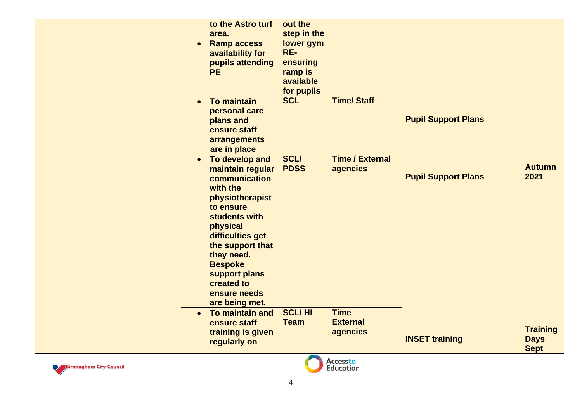| to the Astro turf<br>area.<br><b>Ramp access</b><br>$\bullet$<br>availability for<br>pupils attending<br><b>PE</b>                                                                                                                                                                 | out the<br>step in the<br>lower gym<br>RE-<br>ensuring<br>ramp is<br>available<br>for pupils |                                            |                            |                                               |
|------------------------------------------------------------------------------------------------------------------------------------------------------------------------------------------------------------------------------------------------------------------------------------|----------------------------------------------------------------------------------------------|--------------------------------------------|----------------------------|-----------------------------------------------|
| <b>To maintain</b><br>$\bullet$<br>personal care<br>plans and<br>ensure staff<br>arrangements<br>are in place                                                                                                                                                                      | <b>SCL</b>                                                                                   | <b>Time/Staff</b>                          | <b>Pupil Support Plans</b> |                                               |
| To develop and<br>$\bullet$<br>maintain regular<br>communication<br>with the<br>physiotherapist<br>to ensure<br>students with<br>physical<br>difficulties get<br>the support that<br>they need.<br><b>Bespoke</b><br>support plans<br>created to<br>ensure needs<br>are being met. | <b>SCL/</b><br><b>PDSS</b>                                                                   | <b>Time / External</b><br>agencies         | <b>Pupil Support Plans</b> | <b>Autumn</b><br>2021                         |
| To maintain and<br>$\bullet$<br>ensure staff<br>training is given<br>regularly on                                                                                                                                                                                                  | <b>SCL/HI</b><br><b>Team</b><br><b>Contract</b>                                              | <b>Time</b><br><b>External</b><br>agencies | <b>INSET training</b>      | <b>Training</b><br><b>Days</b><br><b>Sept</b> |



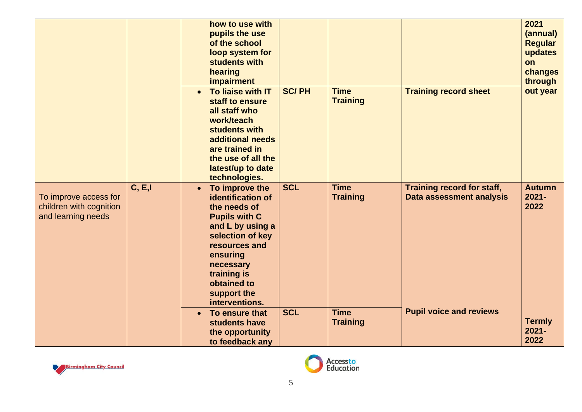|                                                                        |         |           | how to use with<br>pupils the use<br>of the school<br>loop system for<br>students with<br>hearing<br>impairment                                                                                                              |              |                                |                                                        | 2021<br>(annual)<br><b>Regular</b><br>updates<br>on<br>changes<br>through |
|------------------------------------------------------------------------|---------|-----------|------------------------------------------------------------------------------------------------------------------------------------------------------------------------------------------------------------------------------|--------------|--------------------------------|--------------------------------------------------------|---------------------------------------------------------------------------|
|                                                                        |         | $\bullet$ | To liaise with IT<br>staff to ensure<br>all staff who<br>work/teach<br>students with<br>additional needs<br>are trained in<br>the use of all the<br>latest/up to date<br>technologies.                                       | <b>SC/PH</b> | <b>Time</b><br><b>Training</b> | <b>Training record sheet</b>                           | out year                                                                  |
| To improve access for<br>children with cognition<br>and learning needs | C, E, I | $\bullet$ | To improve the<br>identification of<br>the needs of<br><b>Pupils with C</b><br>and L by using a<br>selection of key<br>resources and<br>ensuring<br>necessary<br>training is<br>obtained to<br>support the<br>interventions. | <b>SCL</b>   | <b>Time</b><br><b>Training</b> | Training record for staff,<br>Data assessment analysis | <b>Autumn</b><br>$2021 -$<br>2022                                         |
|                                                                        |         | $\bullet$ | To ensure that<br>students have<br>the opportunity<br>to feedback any                                                                                                                                                        | <b>SCL</b>   | <b>Time</b><br><b>Training</b> | <b>Pupil voice and reviews</b>                         | <b>Termly</b><br>$2021 -$<br>2022                                         |